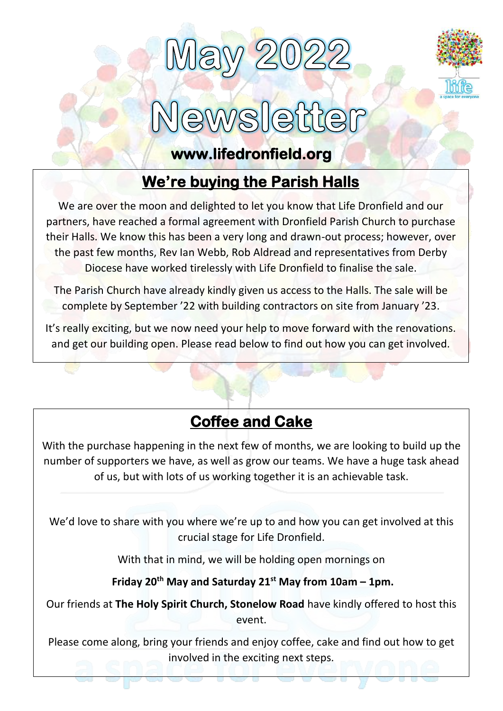



### $\sqrt{S}$ atter

#### **www.lifedronfield.org**

# **We're buying the Parish Halls**

We are over the moon and delighted to let you know that Life Dronfield and our partners, have reached a formal agreement with Dronfield Parish Church to purchase their Halls. We know this has been a very long and drawn-out process; however, over the past few months, Rev Ian Webb, Rob Aldread and representatives from Derby Diocese have worked tirelessly with Life Dronfield to finalise the sale.

The Parish Church have already kindly given us access to the Halls. The sale will be complete by September '22 with building contractors on site from January '23.

It's really exciting, but we now need your help to move forward with the renovations. and get our building open. Please read below to find out how you can get involved.

### **Coffee and Cake**

With the purchase happening in the next few of months, we are looking to build up the number of supporters we have, as well as grow our teams. We have a huge task ahead of us, but with lots of us working together it is an achievable task.

We'd love to share with you where we're up to and how you can get involved at this crucial stage for Life Dronfield.

With that in mind, we will be holding open mornings on

**Friday 20th May and Saturday 21st May from 10am – 1pm.**

Our friends at **The Holy Spirit Church, Stonelow Road** have kindly offered to host this event.

Please come along, bring your friends and enjoy coffee, cake and find out how to get involved in the exciting next steps.